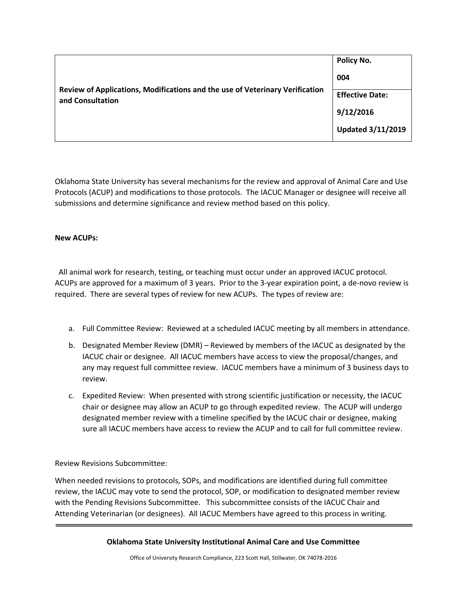| Review of Applications, Modifications and the use of Veterinary Verification<br>and Consultation | Policy No.<br>004                   |
|--------------------------------------------------------------------------------------------------|-------------------------------------|
|                                                                                                  | <b>Effective Date:</b><br>9/12/2016 |
|                                                                                                  | <b>Updated 3/11/2019</b>            |

Oklahoma State University has several mechanisms for the review and approval of Animal Care and Use Protocols (ACUP) and modifications to those protocols. The IACUC Manager or designee will receive all submissions and determine significance and review method based on this policy.

## **New ACUPs:**

 All animal work for research, testing, or teaching must occur under an approved IACUC protocol. ACUPs are approved for a maximum of 3 years. Prior to the 3-year expiration point, a de-novo review is required. There are several types of review for new ACUPs. The types of review are:

- a. Full Committee Review: Reviewed at a scheduled IACUC meeting by all members in attendance.
- b. Designated Member Review (DMR) Reviewed by members of the IACUC as designated by the IACUC chair or designee. All IACUC members have access to view the proposal/changes, and any may request full committee review. IACUC members have a minimum of 3 business days to review.
- c. Expedited Review: When presented with strong scientific justification or necessity, the IACUC chair or designee may allow an ACUP to go through expedited review. The ACUP will undergo designated member review with a timeline specified by the IACUC chair or designee, making sure all IACUC members have access to review the ACUP and to call for full committee review.

Review Revisions Subcommittee:

When needed revisions to protocols, SOPs, and modifications are identified during full committee review, the IACUC may vote to send the protocol, SOP, or modification to designated member review with the Pending Revisions Subcommittee. This subcommittee consists of the IACUC Chair and Attending Veterinarian (or designees). All IACUC Members have agreed to this process in writing.

**Oklahoma State University Institutional Animal Care and Use Committee**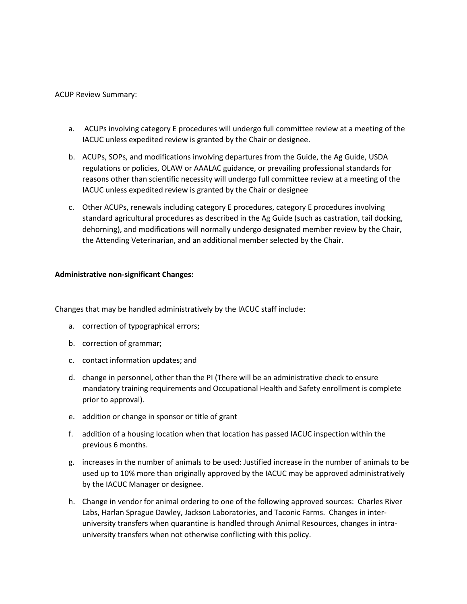## ACUP Review Summary:

- a. ACUPs involving category E procedures will undergo full committee review at a meeting of the IACUC unless expedited review is granted by the Chair or designee.
- b. ACUPs, SOPs, and modifications involving departures from the Guide, the Ag Guide, USDA regulations or policies, OLAW or AAALAC guidance, or prevailing professional standards for reasons other than scientific necessity will undergo full committee review at a meeting of the IACUC unless expedited review is granted by the Chair or designee
- c. Other ACUPs, renewals including category E procedures, category E procedures involving standard agricultural procedures as described in the Ag Guide (such as castration, tail docking, dehorning), and modifications will normally undergo designated member review by the Chair, the Attending Veterinarian, and an additional member selected by the Chair.

## **Administrative non-significant Changes:**

Changes that may be handled administratively by the IACUC staff include:

- a. correction of typographical errors;
- b. correction of grammar;
- c. contact information updates; and
- d. change in personnel, other than the PI (There will be an administrative check to ensure mandatory training requirements and Occupational Health and Safety enrollment is complete prior to approval).
- e. addition or change in sponsor or title of grant
- f. addition of a housing location when that location has passed IACUC inspection within the previous 6 months.
- g. increases in the number of animals to be used: Justified increase in the number of animals to be used up to 10% more than originally approved by the IACUC may be approved administratively by the IACUC Manager or designee.
- h. Change in vendor for animal ordering to one of the following approved sources: Charles River Labs, Harlan Sprague Dawley, Jackson Laboratories, and Taconic Farms. Changes in interuniversity transfers when quarantine is handled through Animal Resources, changes in intrauniversity transfers when not otherwise conflicting with this policy.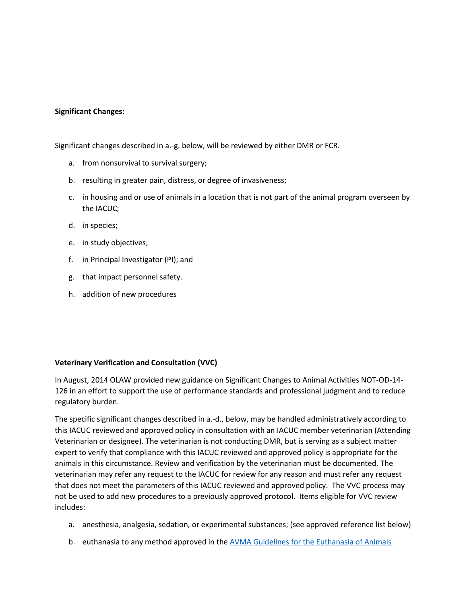## **Significant Changes:**

Significant changes described in a.-g. below, will be reviewed by either DMR or FCR.

- a. from nonsurvival to survival surgery;
- b. resulting in greater pain, distress, or degree of invasiveness;
- c. in housing and or use of animals in a location that is not part of the animal program overseen by the IACUC;
- d. in species;
- e. in study objectives;
- f. in Principal Investigator (PI); and
- g. that impact personnel safety.
- h. addition of new procedures

## **Veterinary Verification and Consultation (VVC)**

In August, 2014 OLAW provided new guidance on Significant Changes to Animal Activities NOT-OD-14- 126 in an effort to support the use of performance standards and professional judgment and to reduce regulatory burden.

The specific significant changes described in a.-d., below, may be handled administratively according to this IACUC reviewed and approved policy in consultation with an IACUC member veterinarian (Attending Veterinarian or designee). The veterinarian is not conducting DMR, but is serving as a subject matter expert to verify that compliance with this IACUC reviewed and approved policy is appropriate for the animals in this circumstance. Review and verification by the veterinarian must be documented. The veterinarian may refer any request to the IACUC for review for any reason and must refer any request that does not meet the parameters of this IACUC reviewed and approved policy. The VVC process may not be used to add new procedures to a previously approved protocol. Items eligible for VVC review includes:

- a. anesthesia, analgesia, sedation, or experimental substances; (see approved reference list below)
- b. euthanasia to any method approved in the [AVMA Guidelines for the Euthanasia of Animals](https://www.avma.org/KB/Policies/Documents/euthanasia.pdf)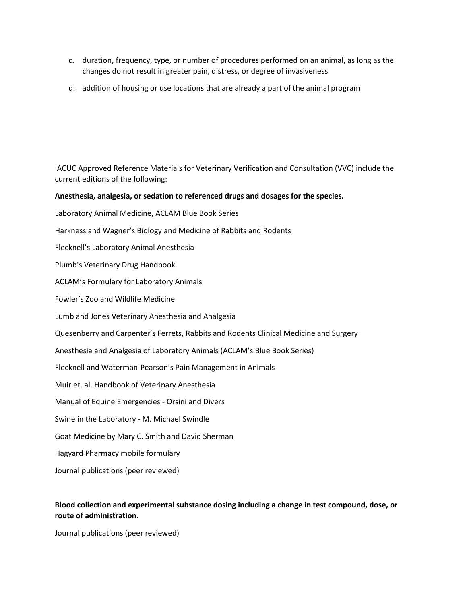- c. duration, frequency, type, or number of procedures performed on an animal, as long as the changes do not result in greater pain, distress, or degree of invasiveness
- d. addition of housing or use locations that are already a part of the animal program

IACUC Approved Reference Materials for Veterinary Verification and Consultation (VVC) include the current editions of the following:

#### **Anesthesia, analgesia, or sedation to referenced drugs and dosages for the species.**

- Laboratory Animal Medicine, ACLAM Blue Book Series
- Harkness and Wagner's Biology and Medicine of Rabbits and Rodents
- Flecknell's Laboratory Animal Anesthesia
- Plumb's Veterinary Drug Handbook
- ACLAM's Formulary for Laboratory Animals
- Fowler's Zoo and Wildlife Medicine
- Lumb and Jones Veterinary Anesthesia and Analgesia
- Quesenberry and Carpenter's Ferrets, Rabbits and Rodents Clinical Medicine and Surgery
- Anesthesia and Analgesia of Laboratory Animals (ACLAM's Blue Book Series)
- Flecknell and Waterman-Pearson's Pain Management in Animals
- Muir et. al. Handbook of Veterinary Anesthesia
- Manual of Equine Emergencies Orsini and Divers
- Swine in the Laboratory M. Michael Swindle
- Goat Medicine by Mary C. Smith and David Sherman
- Hagyard Pharmacy mobile formulary
- Journal publications (peer reviewed)

# **Blood collection and experimental substance dosing including a change in test compound, dose, or route of administration.**

Journal publications (peer reviewed)